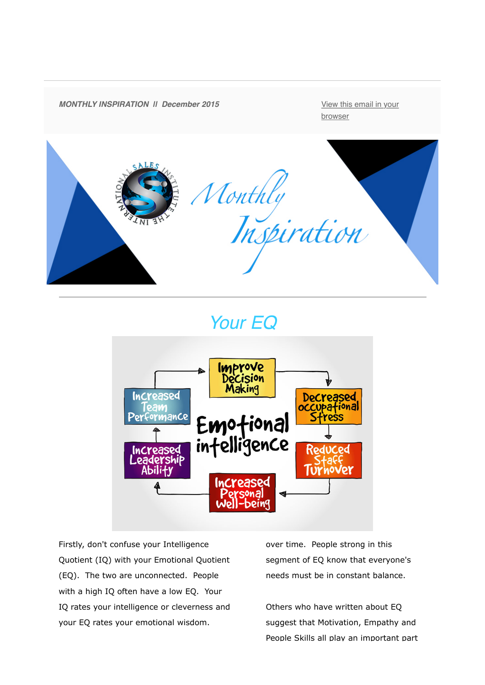

# *Your EQ*



Firstly, don't confuse your Intelligence Quotient (IQ) with your Emotional Quotient (EQ). The two are unconnected. People with a high IQ often have a low EQ. Your IQ rates your intelligence or cleverness and your EQ rates your emotional wisdom.

over time. People strong in this segment of EQ know that everyone's needs must be in constant balance.

Others who have written about EQ suggest that Motivation, Empathy and People Skills all play an important part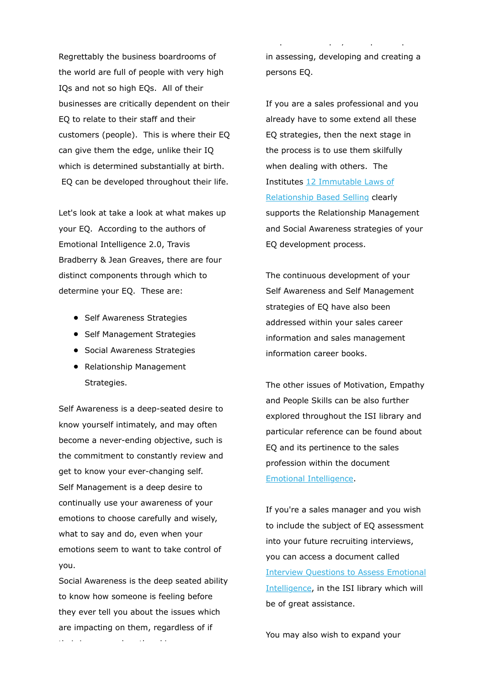Regrettably the business boardrooms of the world are full of people with very high IQs and not so high EQs. All of their businesses are critically dependent on their EQ to relate to their staff and their customers (people). This is where their EQ can give them the edge, unlike their IQ which is determined substantially at birth. EQ can be developed throughout their life.

Let's look at take a look at what makes up your EQ. According to the authors of Emotional Intelligence 2.0, Travis Bradberry & Jean Greaves, there are four distinct components through which to determine your EQ. These are:

- Self Awareness Strategies
- Self Management Strategies
- **•** Social Awareness Strategies
- Relationship Management Strategies.

Self Awareness is a deep-seated desire to know yourself intimately, and may often become a never-ending objective, such is the commitment to constantly review and get to know your ever-changing self. Self Management is a deep desire to continually use your awareness of your emotions to choose carefully and wisely, what to say and do, even when your emotions seem to want to take control of you.

Social Awareness is the deep seated ability to know how someone is feeling before they ever tell you about the issues which are impacting on them, regardless of if their issues are heartbreaking

in assessing, developing and creating a persons EQ.

People Skills all play an important part

If you are a sales professional and you already have to some extend all these EQ strategies, then the next stage in the process is to use them skilfully when dealing with others. The Institutes 12 Immutable Laws of [Relationship Based Selling clearly](http://theinternationalsalesinstitute.us11.list-manage.com/track/click?u=933b80e7a2e18bb216f31e81e&id=983076ac95&e=dbf1c93ab8) supports the Relationship Management and Social Awareness strategies of your EQ development process.

The continuous development of your Self Awareness and Self Management strategies of EQ have also been addressed within your sales career information and sales management information career books.

The other issues of Motivation, Empathy and People Skills can be also further explored throughout the ISI library and particular reference can be found about EQ and its pertinence to the sales profession within the document [Emotional Intelligence.](http://theinternationalsalesinstitute.us11.list-manage.com/track/click?u=933b80e7a2e18bb216f31e81e&id=00a5be1fd7&e=dbf1c93ab8)

If you're a sales manager and you wish to include the subject of EQ assessment into your future recruiting interviews, you can access a document called [Interview Questions to Assess Emotional](http://theinternationalsalesinstitute.us11.list-manage2.com/track/click?u=933b80e7a2e18bb216f31e81e&id=42272308aa&e=dbf1c93ab8) Intelligence, in the ISI library which will be of great assistance.

You may also wish to expand your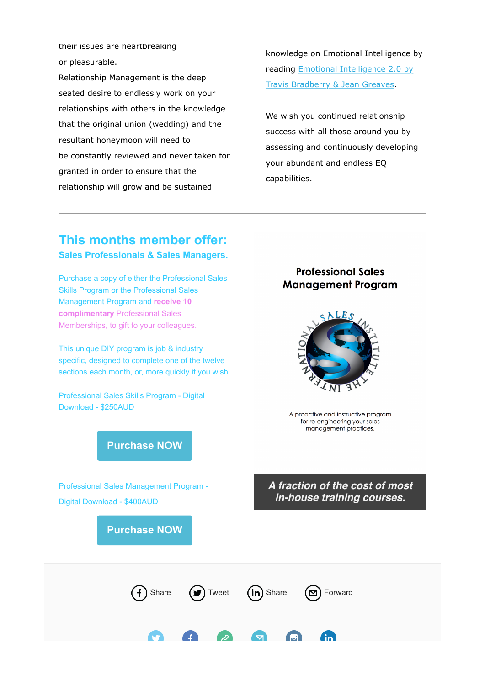their issues are heartbreaking or pleasurable.

Relationship Management is the deep seated desire to endlessly work on your relationships with others in the knowledge that the original union (wedding) and the resultant honeymoon will need to be constantly reviewed and never taken for granted in order to ensure that the relationship will grow and be sustained

knowledge on Emotional Intelligence by [reading Emotional Intelligence 2.0 by](http://theinternationalsalesinstitute.us11.list-manage1.com/track/click?u=933b80e7a2e18bb216f31e81e&id=a18d34d77a&e=dbf1c93ab8) Travis Bradberry & Jean Greaves.

We wish you continued relationship success with all those around you by assessing and continuously developing your abundant and endless EQ capabilities.

### **This months member offer: Sales Professionals & Sales Managers.**

Purchase a copy of either the Professional Sales Skills Program or the Professional Sales Management Program and **receive 10 complimentary** Professional Sales Memberships, to gift to your colleagues.

This unique DIY program is job & industry specific, designed to complete one of the twelve sections each month, or, more quickly if you wish.

Professional Sales Skills Program - Digital Download - \$250AUD

#### **Professional Sales Management Program**



A proactive and instructive program for re-engineering your sales management practices.

## **[Purchase NOW](http://theinternationalsalesinstitute.us11.list-manage.com/track/click?u=933b80e7a2e18bb216f31e81e&id=a4627306c9&e=dbf1c93ab8)**

Professional Sales Management Program - Digital Download - \$400AUD

**[Purchase NOW](http://theinternationalsalesinstitute.us11.list-manage.com/track/click?u=933b80e7a2e18bb216f31e81e&id=1260ce7b72&e=dbf1c93ab8)**

#### *A fraction of the cost of most in-house training courses.*